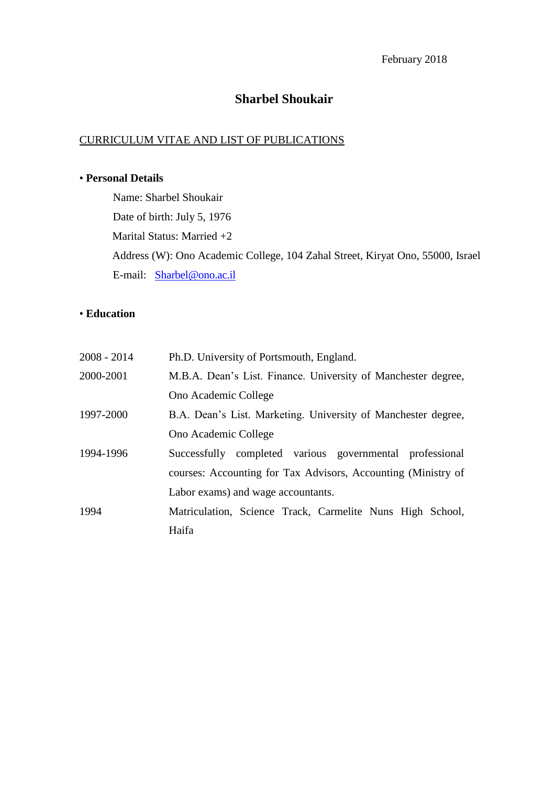# **Sharbel Shoukair**

# CURRICULUM VITAE AND LIST OF PUBLICATIONS

### • **Personal Details**

Name: Sharbel Shoukair Date of birth: July 5, 1976 Marital Status: Married +2 Address (W): Ono Academic College, 104 Zahal Street, Kiryat Ono, 55000, Israel E-mail: [Sharbel@ono.ac.il](mailto:Sharbel@ono.ac.il)

## • **Education**

| $2008 - 2014$ | Ph.D. University of Portsmouth, England.                      |  |  |
|---------------|---------------------------------------------------------------|--|--|
| 2000-2001     | M.B.A. Dean's List. Finance. University of Manchester degree, |  |  |
|               | Ono Academic College                                          |  |  |
| 1997-2000     | B.A. Dean's List. Marketing. University of Manchester degree, |  |  |
|               | Ono Academic College                                          |  |  |
| 1994-1996     | Successfully completed various governmental professional      |  |  |
|               | courses: Accounting for Tax Advisors, Accounting (Ministry of |  |  |
|               | Labor exams) and wage accountants.                            |  |  |
| 1994          | Matriculation, Science Track, Carmelite Nuns High School,     |  |  |
|               | Haifa                                                         |  |  |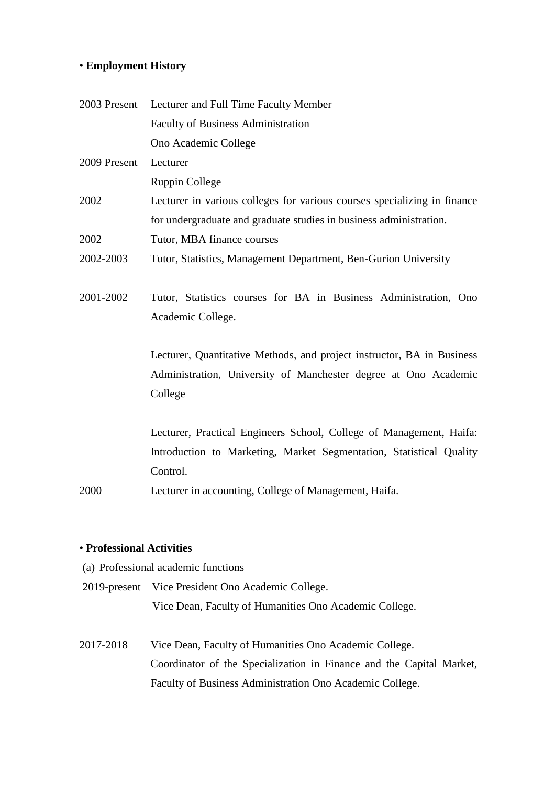## • **Employment History**

| 2003 Present | Lecturer and Full Time Faculty Member                                    |  |  |
|--------------|--------------------------------------------------------------------------|--|--|
|              | <b>Faculty of Business Administration</b>                                |  |  |
|              | Ono Academic College                                                     |  |  |
| 2009 Present | Lecturer                                                                 |  |  |
|              | <b>Ruppin College</b>                                                    |  |  |
| 2002         | Lecturer in various colleges for various courses specializing in finance |  |  |
|              | for undergraduate and graduate studies in business administration.       |  |  |
| 2002         | Tutor, MBA finance courses                                               |  |  |
| 2002-2003    | Tutor, Statistics, Management Department, Ben-Gurion University          |  |  |
|              |                                                                          |  |  |
| 2001-2002    | Tutor, Statistics courses for BA in Business Administration, Ono         |  |  |
|              | Academic College.                                                        |  |  |
|              |                                                                          |  |  |
|              | Lecturer, Quantitative Methods, and project instructor, BA in Business   |  |  |
|              | Administration, University of Manchester degree at Ono Academic          |  |  |
|              | College                                                                  |  |  |
|              |                                                                          |  |  |
|              | Lecturer, Practical Engineers School, College of Management, Haifa:      |  |  |
|              | Introduction to Marketing, Market Segmentation, Statistical Quality      |  |  |
|              | Control.                                                                 |  |  |
| 2000         | Lecturer in accounting, College of Management, Haifa.                    |  |  |
|              |                                                                          |  |  |

# • **Professional Activities**

- (a) Professional academic functions
- 2019-present Vice President Ono Academic College. Vice Dean, Faculty of Humanities Ono Academic College.
- 2017-2018 Vice Dean, Faculty of Humanities Ono Academic College. Coordinator of the Specialization in Finance and the Capital Market, Faculty of Business Administration Ono Academic College.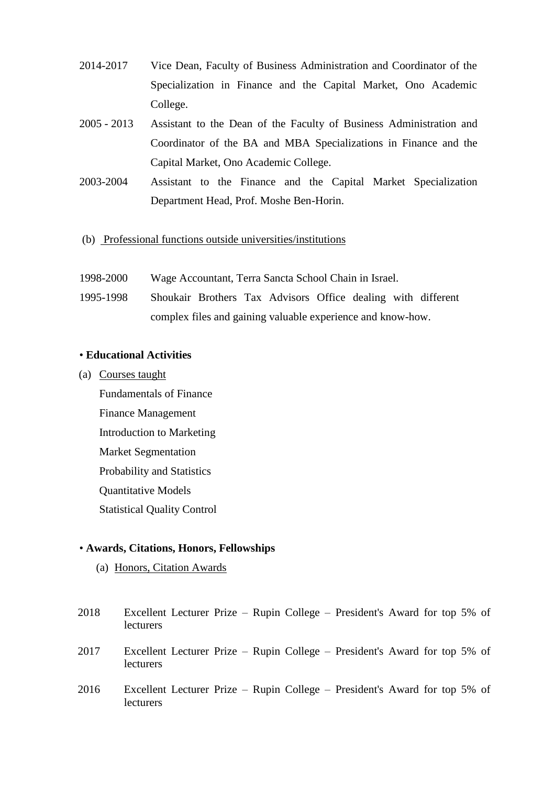- 2014-2017 Vice Dean, Faculty of Business Administration and Coordinator of the Specialization in Finance and the Capital Market, Ono Academic College.
- 2005 2013 Assistant to the Dean of the Faculty of Business Administration and Coordinator of the BA and MBA Specializations in Finance and the Capital Market, Ono Academic College.
- 2003-2004 Assistant to the Finance and the Capital Market Specialization Department Head, Prof. Moshe Ben-Horin.
- (b) Professional functions outside universities/institutions
- 1998-2000 Wage Accountant, Terra Sancta School Chain in Israel.
- 1995-1998 Shoukair Brothers Tax Advisors Office dealing with different complex files and gaining valuable experience and know-how.

#### • **Educational Activities**

(a) Courses taught

Fundamentals of Finance Finance Management Introduction to Marketing Market Segmentation Probability and Statistics Quantitative Models Statistical Quality Control

### • **Awards, Citations, Honors, Fellowships**

(a) Honors, Citation Awards

| 2018 | Excellent Lecturer Prize – Rupin College – President's Award for top 5% of<br>lecturers |  |  |  |
|------|-----------------------------------------------------------------------------------------|--|--|--|
| 2017 | Excellent Lecturer Prize – Rupin College – President's Award for top 5% of<br>lecturers |  |  |  |
| 2016 | Excellent Lecturer Prize – Rupin College – President's Award for top 5% of<br>lecturers |  |  |  |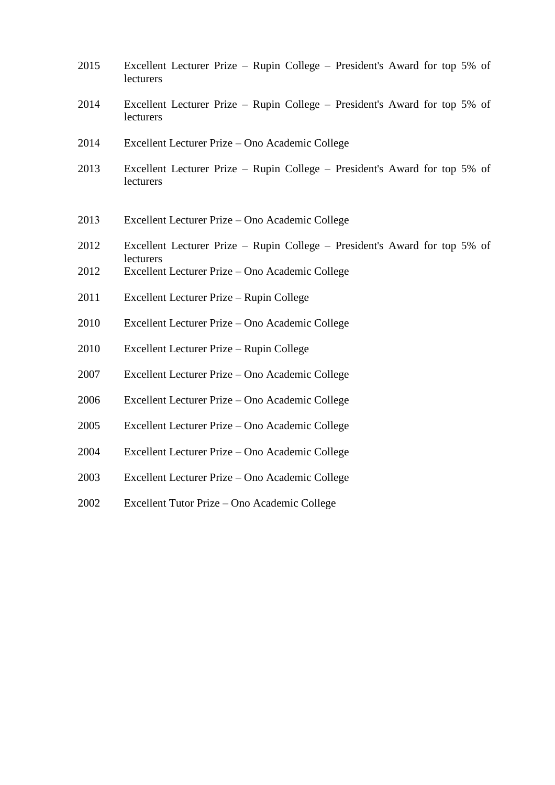| 2015 | Excellent Lecturer Prize – Rupin College – President's Award for top 5% of<br>lecturers |
|------|-----------------------------------------------------------------------------------------|
| 2014 | Excellent Lecturer Prize – Rupin College – President's Award for top 5% of<br>lecturers |
| 2014 | Excellent Lecturer Prize – Ono Academic College                                         |
| 2013 | Excellent Lecturer Prize – Rupin College – President's Award for top 5% of<br>lecturers |
| 2013 | Excellent Lecturer Prize – Ono Academic College                                         |
| 2012 | Excellent Lecturer Prize – Rupin College – President's Award for top 5% of<br>lecturers |
| 2012 | Excellent Lecturer Prize – Ono Academic College                                         |
| 2011 | Excellent Lecturer Prize - Rupin College                                                |
| 2010 | Excellent Lecturer Prize - Ono Academic College                                         |
| 2010 | Excellent Lecturer Prize – Rupin College                                                |
| 2007 | Excellent Lecturer Prize – Ono Academic College                                         |
| 2006 | Excellent Lecturer Prize – Ono Academic College                                         |
| 2005 | Excellent Lecturer Prize – Ono Academic College                                         |
| 2004 | Excellent Lecturer Prize – Ono Academic College                                         |
| 2003 | Excellent Lecturer Prize – Ono Academic College                                         |
| 2002 | Excellent Tutor Prize - Ono Academic College                                            |